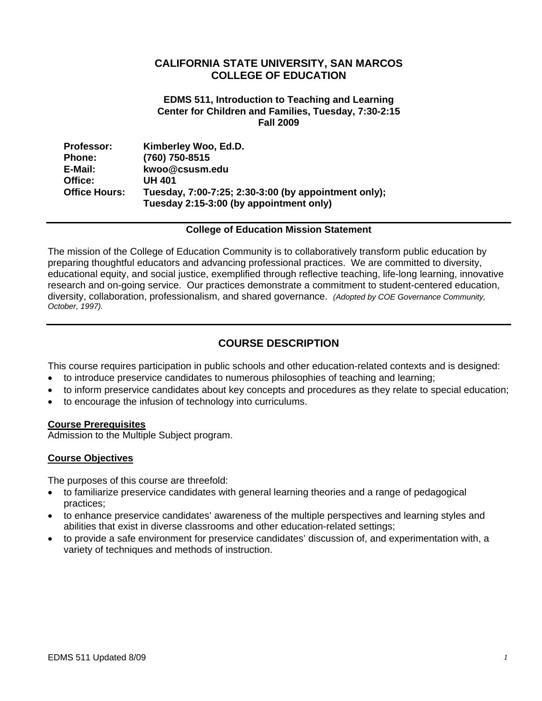# **CALIFORNIA STATE UNIVERSITY, SAN MARCOS COLLEGE OF EDUCATION**

#### **EDMS 511, Introduction to Teaching and Learning Center for Children and Families, Tuesday, 7:30-2:15 Fall 2009**

| <b>Professor:</b>    | Kimberley Woo, Ed.D.                                 |
|----------------------|------------------------------------------------------|
| <b>Phone:</b>        | (760) 750-8515                                       |
| E-Mail:              | kwoo@csusm.edu                                       |
| Office:              | UH 401                                               |
| <b>Office Hours:</b> | Tuesday, 7:00-7:25; 2:30-3:00 (by appointment only); |
|                      | Tuesday 2:15-3:00 (by appointment only)              |

#### **College of Education Mission Statement**

The mission of the College of Education Community is to collaboratively transform public education by preparing thoughtful educators and advancing professional practices. We are committed to diversity, educational equity, and social justice, exemplified through reflective teaching, life-long learning, innovative research and on-going service. Our practices demonstrate a commitment to student-centered education, diversity, collaboration, professionalism, and shared governance. *(Adopted by COE Governance Community, October, 1997).* 

# **COURSE DESCRIPTION**

This course requires participation in public schools and other education-related contexts and is designed:

- to introduce preservice candidates to numerous philosophies of teaching and learning;
- to inform preservice candidates about key concepts and procedures as they relate to special education;
- to encourage the infusion of technology into curriculums.

#### **Course Prerequisites**

Admission to the Multiple Subject program.

## **Course Objectives**

The purposes of this course are threefold:

- to familiarize preservice candidates with general learning theories and a range of pedagogical practices;
- to enhance preservice candidates' awareness of the multiple perspectives and learning styles and abilities that exist in diverse classrooms and other education-related settings;
- to provide a safe environment for preservice candidates' discussion of, and experimentation with, a variety of techniques and methods of instruction.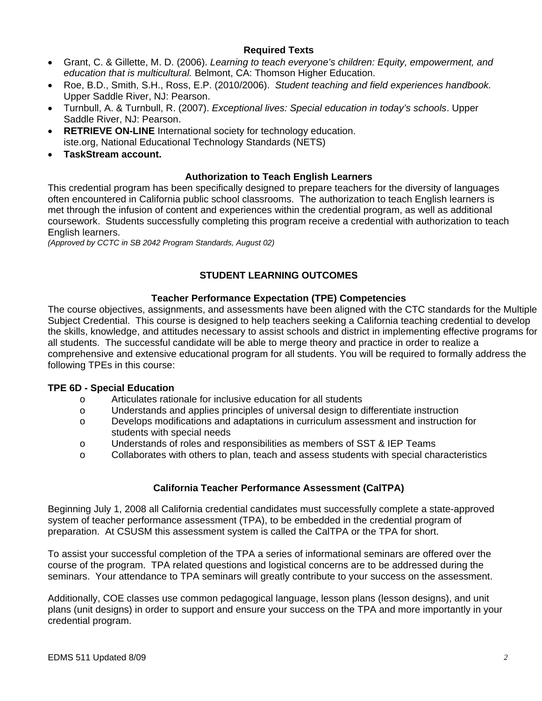## **Required Texts**

- Grant, C. & Gillette, M. D. (2006). *Learning to teach everyone's children: Equity, empowerment, and education that is multicultural.* Belmont, CA: Thomson Higher Education.
- Roe, B.D., Smith, S.H., Ross, E.P. (2010/2006). *Student teaching and field experiences handbook.*  Upper Saddle River, NJ: Pearson.
- Turnbull, A. & Turnbull, R. (2007). *Exceptional lives: Special education in today's schools*. Upper Saddle River, NJ: Pearson.
- **RETRIEVE ON-LINE** International society for technology education. iste.org, National Educational Technology Standards (NETS)
- **TaskStream account.**

## **Authorization to Teach English Learners**

This credential program has been specifically designed to prepare teachers for the diversity of languages often encountered in California public school classrooms. The authorization to teach English learners is met through the infusion of content and experiences within the credential program, as well as additional coursework. Students successfully completing this program receive a credential with authorization to teach English learners.

*(Approved by CCTC in SB 2042 Program Standards, August 02)* 

# **STUDENT LEARNING OUTCOMES**

## **Teacher Performance Expectation (TPE) Competencies**

The course objectives, assignments, and assessments have been aligned with the CTC standards for the Multiple Subject Credential. This course is designed to help teachers seeking a California teaching credential to develop the skills, knowledge, and attitudes necessary to assist schools and district in implementing effective programs for all students. The successful candidate will be able to merge theory and practice in order to realize a comprehensive and extensive educational program for all students. You will be required to formally address the following TPEs in this course:

#### **TPE 6D - Special Education**

- o Articulates rationale for inclusive education for all students
- $\circ$  Understands and applies principles of universal design to differentiate instruction
- o Develops modifications and adaptations in curriculum assessment and instruction for students with special needs
- o Understands of roles and responsibilities as members of SST & IEP Teams
- $\circ$  Collaborates with others to plan, teach and assess students with special characteristics

## **California Teacher Performance Assessment (CalTPA)**

Beginning July 1, 2008 all California credential candidates must successfully complete a state-approved system of teacher performance assessment (TPA), to be embedded in the credential program of preparation. At CSUSM this assessment system is called the CalTPA or the TPA for short.

To assist your successful completion of the TPA a series of informational seminars are offered over the course of the program. TPA related questions and logistical concerns are to be addressed during the seminars. Your attendance to TPA seminars will greatly contribute to your success on the assessment.

Additionally, COE classes use common pedagogical language, lesson plans (lesson designs), and unit plans (unit designs) in order to support and ensure your success on the TPA and more importantly in your credential program.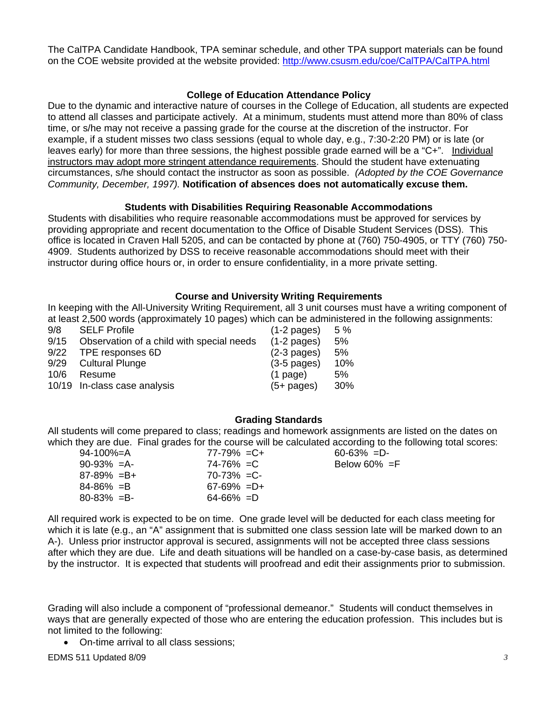The CalTPA Candidate Handbook, TPA seminar schedule, and other TPA support materials can be found on the COE website provided at the website provided: http://www.csusm.edu/coe/CalTPA/CalTPA.html

# **College of Education Attendance Policy**

Due to the dynamic and interactive nature of courses in the College of Education, all students are expected to attend all classes and participate actively. At a minimum, students must attend more than 80% of class time, or s/he may not receive a passing grade for the course at the discretion of the instructor. For example, if a student misses two class sessions (equal to whole day, e.g., 7:30-2:20 PM) or is late (or leaves early) for more than three sessions, the highest possible grade earned will be a "C+". Individual instructors may adopt more stringent attendance requirements. Should the student have extenuating circumstances, s/he should contact the instructor as soon as possible. *(Adopted by the COE Governance Community, December, 1997).* **Notification of absences does not automatically excuse them.** 

## **Students with Disabilities Requiring Reasonable Accommodations**

Students with disabilities who require reasonable accommodations must be approved for services by providing appropriate and recent documentation to the Office of Disable Student Services (DSS). This office is located in Craven Hall 5205, and can be contacted by phone at (760) 750-4905, or TTY (760) 750 4909. Students authorized by DSS to receive reasonable accommodations should meet with their instructor during office hours or, in order to ensure confidentiality, in a more private setting.

## **Course and University Writing Requirements**

In keeping with the All-University Writing Requirement, all 3 unit courses must have a writing component of at least 2,500 words (approximately 10 pages) which can be administered in the following assignments:

| 9/8  | <b>SELF Profile</b>                       | $(1-2$ pages)         | 5%  |
|------|-------------------------------------------|-----------------------|-----|
| 9/15 | Observation of a child with special needs | $(1-2 \text{ pages})$ | 5%  |
| 9/22 | TPE responses 6D                          | $(2-3$ pages)         | 5%  |
| 9/29 | <b>Cultural Plunge</b>                    | $(3-5$ pages)         | 10% |
| 10/6 | Resume                                    | $(1$ page)            | 5%  |
|      | 10/19 In-class case analysis              | $(5+$ pages)          | 30% |

## **Grading Standards**

All students will come prepared to class; readings and homework assignments are listed on the dates on which they are due. Final grades for the course will be calculated according to the following total scores:

| 94-100%=A       | $77 - 79\% = C +$ |
|-----------------|-------------------|
| $90 - 93\% = A$ | $74 - 76\% = C$   |
| $87-89\% = B+$  | $70 - 73\% = C$   |
| $84 - 86\% = B$ | $67-69\% = D+$    |
| $80 - 83\% = B$ | $64 - 66\% = D$   |
|                 |                   |

 $60-63\%$  =D-Below  $60\%$  =F

by the instructor. It is expected that students will proofread and edit their assignments prior to submission. All required work is expected to be on time. One grade level will be deducted for each class meeting for which it is late (e.g., an "A" assignment that is submitted one class session late will be marked down to an A-). Unless prior instructor approval is secured, assignments will not be accepted three class sessions after which they are due. Life and death situations will be handled on a case-by-case basis, as determined

Grading will also include a component of "professional demeanor." Students will conduct themselves in ways that are generally expected of those who are entering the education profession. This includes but is not limited to the following:

• On-time arrival to all class sessions;

EDMS 511 Updated 8/09 *3*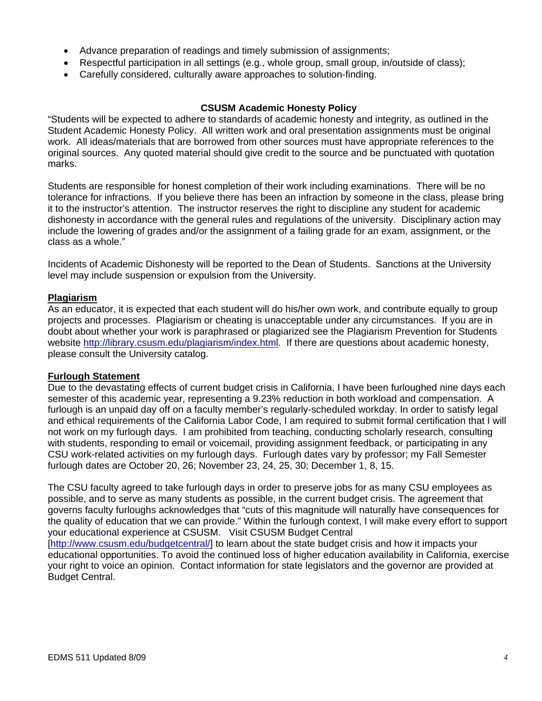- Advance preparation of readings and timely submission of assignments;
- Respectful participation in all settings (e.g., whole group, small group, in/outside of class);
- Carefully considered, culturally aware approaches to solution-finding.

#### **CSUSM Academic Honesty Policy**

"Students will be expected to adhere to standards of academic honesty and integrity, as outlined in the Student Academic Honesty Policy. All written work and oral presentation assignments must be original work. All ideas/materials that are borrowed from other sources must have appropriate references to the original sources. Any quoted material should give credit to the source and be punctuated with quotation marks.

Students are responsible for honest completion of their work including examinations. There will be no tolerance for infractions. If you believe there has been an infraction by someone in the class, please bring it to the instructor's attention. The instructor reserves the right to discipline any student for academic dishonesty in accordance with the general rules and regulations of the university. Disciplinary action may include the lowering of grades and/or the assignment of a failing grade for an exam, assignment, or the class as a whole."

Incidents of Academic Dishonesty will be reported to the Dean of Students. Sanctions at the University level may include suspension or expulsion from the University.

#### **Plagiarism**

As an educator, it is expected that each student will do his/her own work, and contribute equally to group projects and processes. Plagiarism or cheating is unacceptable under any circumstances. If you are in doubt about whether your work is paraphrased or plagiarized see the Plagiarism Prevention for Students website http://library.csusm.edu/plagiarism/index.html. If there are questions about academic honesty, please consult the University catalog.

#### **Furlough Statement**

Due to the devastating effects of current budget crisis in California, I have been furloughed nine days each semester of this academic year, representing a 9.23% reduction in both workload and compensation. A furlough is an unpaid day off on a faculty member's regularly-scheduled workday. In order to satisfy legal and ethical requirements of the California Labor Code, I am required to submit formal certification that I will not work on my furlough days. I am prohibited from teaching, conducting scholarly research, consulting with students, responding to email or voicemail, providing assignment feedback, or participating in any CSU work-related activities on my furlough days. Furlough dates vary by professor; my Fall Semester furlough dates are October 20, 26; November 23, 24, 25, 30; December 1, 8, 15.

The CSU faculty agreed to take furlough days in order to preserve jobs for as many CSU employees as possible, and to serve as many students as possible, in the current budget crisis. The agreement that governs faculty furloughs acknowledges that "cuts of this magnitude will naturally have consequences for the quality of education that we can provide." Within the furlough context, I will make every effort to support your educational experience at CSUSM. Visit CSUSM Budget Central

[http://www.csusm.edu/budgetcentral/] to learn about the state budget crisis and how it impacts your educational opportunities. To avoid the continued loss of higher education availability in California, exercise your right to voice an opinion. Contact information for state legislators and the governor are provided at Budget Central.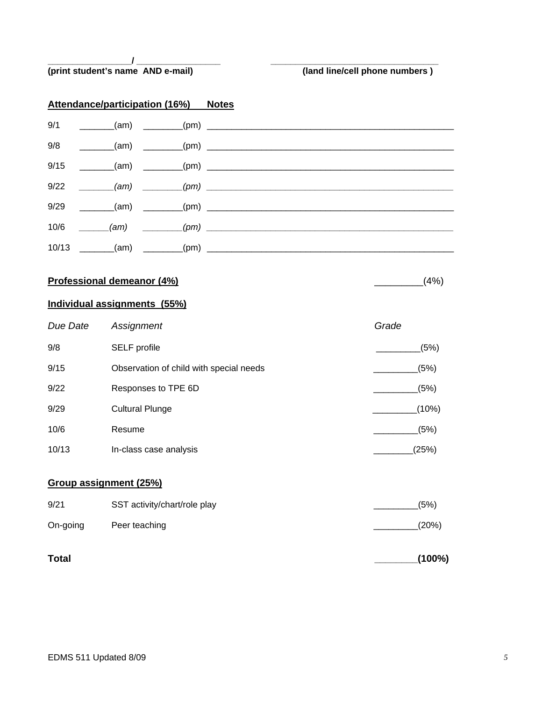#### **\_\_\_\_\_\_\_\_\_\_\_\_\_\_\_\_\_/ \_\_\_\_\_\_\_\_\_\_\_\_\_\_\_\_\_ \_\_\_\_\_\_\_\_\_\_\_\_\_\_\_\_\_\_\_\_\_\_\_\_\_\_\_\_\_\_\_\_\_\_ (print student's name AND e-mail) (land line/cell phone numbers )**

# **Attendance/participation (16%) Notes**

| 9/1 |  | ________(am) _________(pm) ___________________________________ |
|-----|--|----------------------------------------------------------------|
| 9/8 |  | ________(am)  _________(pm) _______________________            |
|     |  |                                                                |
|     |  | $9/22$ (am) $(pm)$ $1/22$                                      |
|     |  |                                                                |
|     |  | $10/6$ (am) $(pm)$ (pm)                                        |
|     |  |                                                                |

#### **Professional demeanor (4%)** \_\_\_\_\_\_\_\_\_(4%)

# **Individual assignments (55%)**

| Due Date               | Assignment                              | Grade |
|------------------------|-----------------------------------------|-------|
| 9/8                    | SELF profile                            | (5%)  |
| 9/15                   | Observation of child with special needs | (5%)  |
| 9/22                   | Responses to TPE 6D                     | (5%)  |
| 9/29                   | <b>Cultural Plunge</b>                  | (10%) |
| 10/6                   | Resume                                  | (5%)  |
| 10/13                  | In-class case analysis                  | (25%) |
| Group assignment (25%) |                                         |       |
| 9/21                   | SST activity/chart/role play            | (5%)  |
| On-going               | Peer teaching                           | (20%) |
|                        |                                         |       |

**Total \_\_\_\_\_\_\_\_(100%)**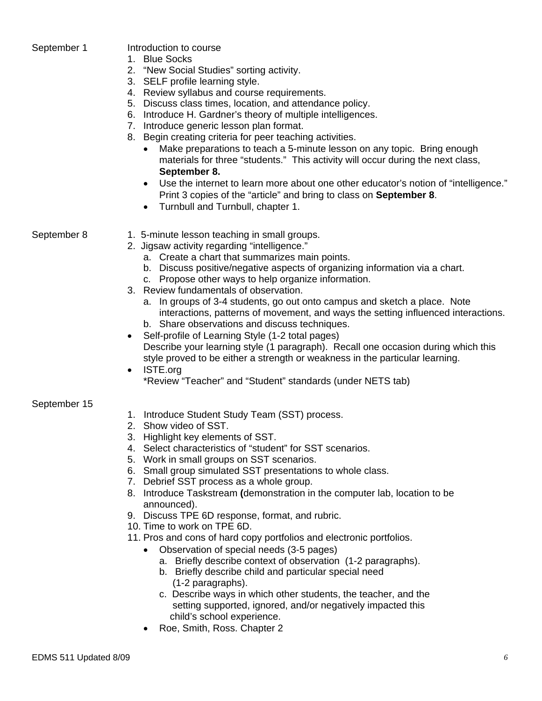| September 1  | Introduction to course<br>1. Blue Socks<br>2. "New Social Studies" sorting activity.<br>3. SELF profile learning style.<br>4. Review syllabus and course requirements.<br>5. Discuss class times, location, and attendance policy.<br>6. Introduce H. Gardner's theory of multiple intelligences.<br>7. Introduce generic lesson plan format.<br>8. Begin creating criteria for peer teaching activities.<br>Make preparations to teach a 5-minute lesson on any topic. Bring enough<br>materials for three "students." This activity will occur during the next class,<br>September 8.<br>Use the internet to learn more about one other educator's notion of "intelligence."<br>$\bullet$<br>Print 3 copies of the "article" and bring to class on September 8.<br>Turnbull and Turnbull, chapter 1.<br>$\bullet$                                               |
|--------------|-------------------------------------------------------------------------------------------------------------------------------------------------------------------------------------------------------------------------------------------------------------------------------------------------------------------------------------------------------------------------------------------------------------------------------------------------------------------------------------------------------------------------------------------------------------------------------------------------------------------------------------------------------------------------------------------------------------------------------------------------------------------------------------------------------------------------------------------------------------------|
| September 8  | 1. 5-minute lesson teaching in small groups.<br>2. Jigsaw activity regarding "intelligence."<br>a. Create a chart that summarizes main points.<br>b. Discuss positive/negative aspects of organizing information via a chart.<br>c. Propose other ways to help organize information.<br>3. Review fundamentals of observation.<br>a. In groups of 3-4 students, go out onto campus and sketch a place. Note<br>interactions, patterns of movement, and ways the setting influenced interactions.<br>b. Share observations and discuss techniques.<br>Self-profile of Learning Style (1-2 total pages)<br>Describe your learning style (1 paragraph). Recall one occasion during which this<br>style proved to be either a strength or weakness in the particular learning.<br>ISTE.org<br>$\bullet$<br>*Review "Teacher" and "Student" standards (under NETS tab) |
| September 15 | 1. Introduce Student Study Team (SST) process.<br>2. Show video of SST.<br>3. Highlight key elements of SST.<br>4. Select characteristics of "student" for SST scenarios.<br>5. Work in small groups on SST scenarios.<br>6. Small group simulated SST presentations to whole class.<br>7. Debrief SST process as a whole group.<br>8. Introduce Taskstream (demonstration in the computer lab, location to be<br>announced).<br>9. Discuss TPE 6D response, format, and rubric.                                                                                                                                                                                                                                                                                                                                                                                  |

- 10. Time to work on TPE 6D.
- 11. Pros and cons of hard copy portfolios and electronic portfolios.
	- Observation of special needs (3-5 pages)
		- a. Briefly describe context of observation (1-2 paragraphs).
		- b. Briefly describe child and particular special need (1-2 paragraphs).
		- c. Describe ways in which other students, the teacher, and the setting supported, ignored, and/or negatively impacted this child's school experience.
	- Roe, Smith, Ross. Chapter 2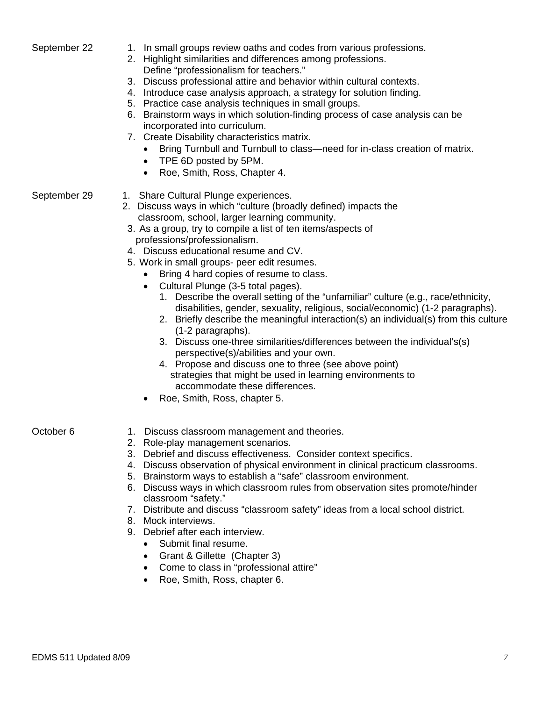- September 22 1. In small groups review oaths and codes from various professions.
	- 2. Highlight similarities and differences among professions.
		- Define "professionalism for teachers."
	- 3. Discuss professional attire and behavior within cultural contexts.
	- 4. Introduce case analysis approach, a strategy for solution finding.
	- 5. Practice case analysis techniques in small groups.
	- 6. Brainstorm ways in which solution-finding process of case analysis can be incorporated into curriculum.
	- 7. Create Disability characteristics matrix.
		- Bring Turnbull and Turnbull to class—need for in-class creation of matrix.
		- TPE 6D posted by 5PM.
		- Roe, Smith, Ross, Chapter 4.
- 

# September 29 1. Share Cultural Plunge experiences.

- 2. Discuss ways in which "culture (broadly defined) impacts the classroom, school, larger learning community.
- 3. As a group, try to compile a list of ten items/aspects of professions/professionalism.
- 4. Discuss educational resume and CV.
- 5. Work in small groups- peer edit resumes.
	- Bring 4 hard copies of resume to class.
	- Cultural Plunge (3-5 total pages).
		- 1. Describe the overall setting of the "unfamiliar" culture (e.g., race/ethnicity, disabilities, gender, sexuality, religious, social/economic) (1-2 paragraphs).
		- 2. Briefly describe the meaningful interaction(s) an individual(s) from this culture (1-2 paragraphs).
		- 3. Discuss one-three similarities/differences between the individual's(s) perspective(s)/abilities and your own.
		- 4. Propose and discuss one to three (see above point) strategies that might be used in learning environments to accommodate these differences.
	- Roe, Smith, Ross, chapter 5.

- October 6 1. Discuss classroom management and theories.
	- 2. Role-play management scenarios.
	- 3. Debrief and discuss effectiveness. Consider context specifics.
	- 4. Discuss observation of physical environment in clinical practicum classrooms.
	- 5. Brainstorm ways to establish a "safe" classroom environment.
	- 6. Discuss ways in which classroom rules from observation sites promote/hinder classroom "safety."
	- 7. Distribute and discuss "classroom safety" ideas from a local school district.
	- 8. Mock interviews.
	- 9. Debrief after each interview.
		- Submit final resume.
		- Grant & Gillette (Chapter 3)
		- Come to class in "professional attire"
		- Roe, Smith, Ross, chapter 6.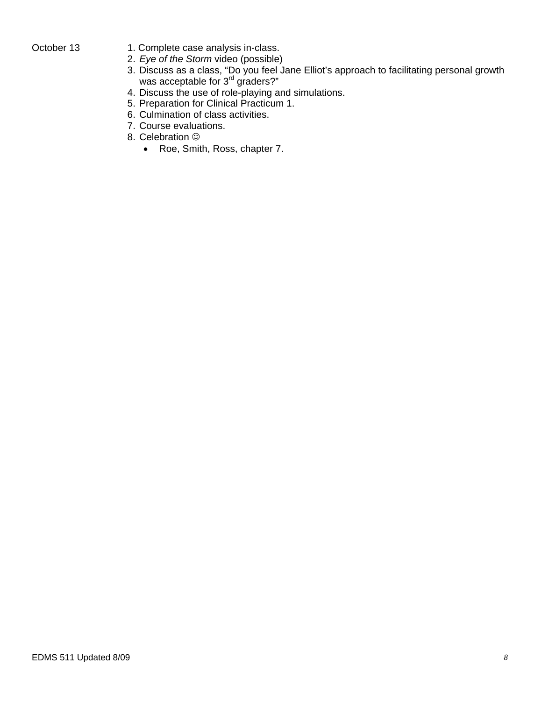- October 13 1. Complete case analysis in-class.
	- 2. *Eye of the Storm* video (possible)
	- 3. Discuss as a class, "Do you feel Jane Elliot's approach to facilitating personal growth was acceptable for 3<sup>rd</sup> graders?"
	- 4. Discuss the use of role-playing and simulations.
	- 5. Preparation for Clinical Practicum 1.
	- 6. Culmination of class activities.
	- 7. Course evaluations.
	- 8. Celebration  $\odot$ 
		- Roe, Smith, Ross, chapter 7.